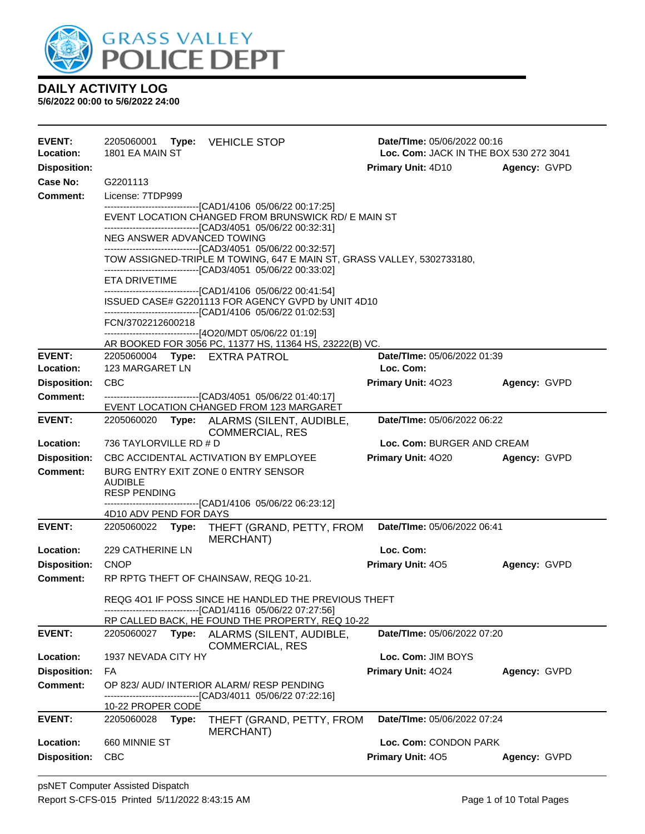

| <b>EVENT:</b><br>Location: | 2205060001<br><b>Type: VEHICLE STOP</b><br>1801 EA MAIN ST                                                                                                                                              | Date/TIme: 05/06/2022 00:16<br>Loc. Com: JACK IN THE BOX 530 272 3041 |              |  |  |  |
|----------------------------|---------------------------------------------------------------------------------------------------------------------------------------------------------------------------------------------------------|-----------------------------------------------------------------------|--------------|--|--|--|
| <b>Disposition:</b>        |                                                                                                                                                                                                         | <b>Primary Unit: 4D10</b>                                             | Agency: GVPD |  |  |  |
| Case No:                   | G2201113                                                                                                                                                                                                |                                                                       |              |  |  |  |
| Comment:                   | License: 7TDP999                                                                                                                                                                                        |                                                                       |              |  |  |  |
|                            | ------------------------------[CAD1/4106 05/06/22 00:17:25]<br>EVENT LOCATION CHANGED FROM BRUNSWICK RD/ E MAIN ST<br>---------------------------------[CAD3/4051 05/06/22 00:32:31]                    |                                                                       |              |  |  |  |
|                            | NEG ANSWER ADVANCED TOWING                                                                                                                                                                              |                                                                       |              |  |  |  |
|                            | -------------------------------[CAD3/4051 05/06/22 00:32:57]<br>TOW ASSIGNED-TRIPLE M TOWING, 647 E MAIN ST, GRASS VALLEY, 5302733180,<br>--------------------------------[CAD3/4051 05/06/22 00:33:02] |                                                                       |              |  |  |  |
|                            | ETA DRIVETIME                                                                                                                                                                                           |                                                                       |              |  |  |  |
|                            | ------------------------------[CAD1/4106 05/06/22 00:41:54]<br>ISSUED CASE# G2201113 FOR AGENCY GVPD by UNIT 4D10<br>-------------------------------[CAD1/4106 05/06/22 01:02:53]                       |                                                                       |              |  |  |  |
|                            | FCN/3702212600218                                                                                                                                                                                       |                                                                       |              |  |  |  |
|                            | ------------------------------[4O20/MDT 05/06/22 01:19]<br>AR BOOKED FOR 3056 PC, 11377 HS, 11364 HS, 23222(B) VC.                                                                                      |                                                                       |              |  |  |  |
| <b>EVENT:</b>              | 2205060004 Type: EXTRA PATROL                                                                                                                                                                           | Date/TIme: 05/06/2022 01:39                                           |              |  |  |  |
| Location:                  | 123 MARGARET LN                                                                                                                                                                                         | Loc. Com:                                                             |              |  |  |  |
| <b>Disposition:</b>        | <b>CBC</b>                                                                                                                                                                                              | Primary Unit: 4023                                                    | Agency: GVPD |  |  |  |
| <b>Comment:</b>            | -------------------------------[CAD3/4051 05/06/22 01:40:17]<br>EVENT LOCATION CHANGED FROM 123 MARGARET                                                                                                |                                                                       |              |  |  |  |
| <b>EVENT:</b>              | Date/TIme: 05/06/2022 06:22<br>2205060020<br>Type: ALARMS (SILENT, AUDIBLE,<br><b>COMMERCIAL, RES</b>                                                                                                   |                                                                       |              |  |  |  |
| Location:                  | 736 TAYLORVILLE RD # D                                                                                                                                                                                  | Loc. Com: BURGER AND CREAM                                            |              |  |  |  |
| <b>Disposition:</b>        | CBC ACCIDENTAL ACTIVATION BY EMPLOYEE                                                                                                                                                                   | <b>Primary Unit: 4020</b>                                             | Agency: GVPD |  |  |  |
| <b>Comment:</b>            | BURG ENTRY EXIT ZONE 0 ENTRY SENSOR<br><b>AUDIBLE</b><br><b>RESP PENDING</b>                                                                                                                            |                                                                       |              |  |  |  |
|                            | -------------------------------[CAD1/4106 05/06/22 06:23:12]<br>4D10 ADV PEND FOR DAYS                                                                                                                  |                                                                       |              |  |  |  |
| <b>EVENT:</b>              | 2205060022 Type:<br>THEFT (GRAND, PETTY, FROM<br><b>MERCHANT)</b>                                                                                                                                       | Date/TIme: 05/06/2022 06:41                                           |              |  |  |  |
| Location:                  | 229 CATHERINE LN                                                                                                                                                                                        | Loc. Com:                                                             |              |  |  |  |
| <b>Disposition:</b>        | <b>CNOP</b>                                                                                                                                                                                             | Primary Unit: 405                                                     | Agency: GVPD |  |  |  |
| Comment:                   | RP RPTG THEFT OF CHAINSAW, REQG 10-21.                                                                                                                                                                  |                                                                       |              |  |  |  |
|                            | REQG 401 IF POSS SINCE HE HANDLED THE PREVIOUS THEFT<br>-------------------------------[CAD1/4116 05/06/22 07:27:56]                                                                                    |                                                                       |              |  |  |  |
|                            | RP CALLED BACK, HE FOUND THE PROPERTY, REQ 10-22                                                                                                                                                        |                                                                       |              |  |  |  |
| <b>EVENT:</b>              | 2205060027 Type: ALARMS (SILENT, AUDIBLE,<br><b>COMMERCIAL, RES</b>                                                                                                                                     | Date/TIme: 05/06/2022 07:20                                           |              |  |  |  |
| Location:                  | 1937 NEVADA CITY HY                                                                                                                                                                                     | Loc. Com: JIM BOYS                                                    |              |  |  |  |
| <b>Disposition:</b>        | FA                                                                                                                                                                                                      | Primary Unit: 4024                                                    | Agency: GVPD |  |  |  |
| <b>Comment:</b>            | OP 823/ AUD/ INTERIOR ALARM/ RESP PENDING<br>----------------------[CAD3/4011_05/06/22 07:22:16]                                                                                                        |                                                                       |              |  |  |  |
|                            | 10-22 PROPER CODE                                                                                                                                                                                       |                                                                       |              |  |  |  |
| <b>EVENT:</b>              | THEFT (GRAND, PETTY, FROM<br>2205060028<br>Type:<br>MERCHANT)                                                                                                                                           | Date/TIme: 05/06/2022 07:24                                           |              |  |  |  |
| Location:                  | 660 MINNIE ST                                                                                                                                                                                           | Loc. Com: CONDON PARK                                                 |              |  |  |  |
| <b>Disposition:</b>        | <b>CBC</b>                                                                                                                                                                                              | Primary Unit: 405                                                     | Agency: GVPD |  |  |  |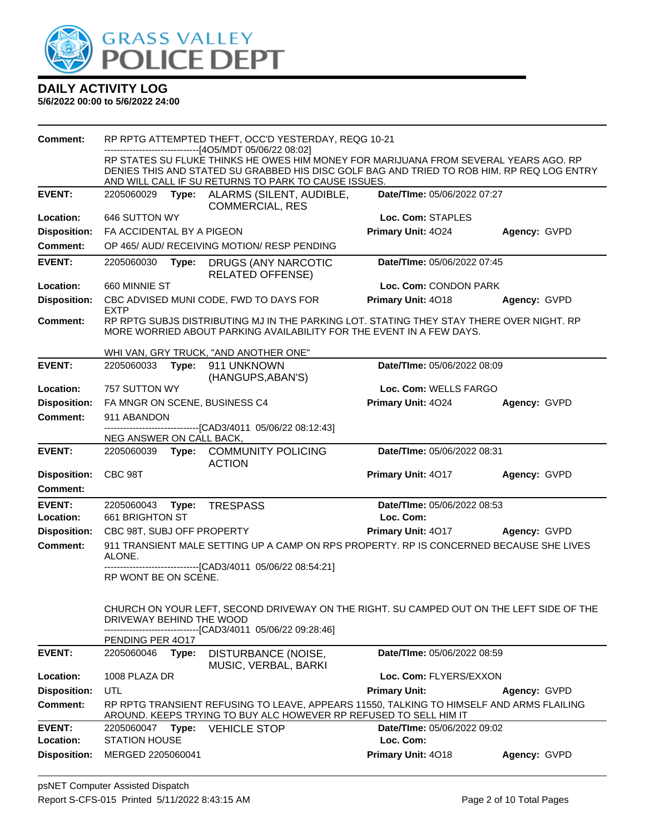

| <b>Comment:</b>            | RP RPTG ATTEMPTED THEFT, OCC'D YESTERDAY, REQG 10-21                                                                                      |                                                                                                                                                                  |                                                                                         |              |  |
|----------------------------|-------------------------------------------------------------------------------------------------------------------------------------------|------------------------------------------------------------------------------------------------------------------------------------------------------------------|-----------------------------------------------------------------------------------------|--------------|--|
|                            | -------------------------[4O5/MDT 05/06/22 08:02]<br>RP STATES SU FLUKE THINKS HE OWES HIM MONEY FOR MARIJUANA FROM SEVERAL YEARS AGO. RP |                                                                                                                                                                  |                                                                                         |              |  |
|                            | DENIES THIS AND STATED SU GRABBED HIS DISC GOLF BAG AND TRIED TO ROB HIM. RP REQ LOG ENTRY                                                |                                                                                                                                                                  |                                                                                         |              |  |
|                            |                                                                                                                                           | AND WILL CALL IF SU RETURNS TO PARK TO CAUSE ISSUES.                                                                                                             |                                                                                         |              |  |
| <b>EVENT:</b>              | 2205060029                                                                                                                                | Type: ALARMS (SILENT, AUDIBLE,<br><b>COMMERCIAL, RES</b>                                                                                                         | Date/TIme: 05/06/2022 07:27                                                             |              |  |
| <b>Location:</b>           | 646 SUTTON WY                                                                                                                             |                                                                                                                                                                  | Loc. Com: STAPLES                                                                       |              |  |
| <b>Disposition:</b>        | FA ACCIDENTAL BY A PIGEON                                                                                                                 |                                                                                                                                                                  | Primary Unit: 4024                                                                      | Agency: GVPD |  |
| <b>Comment:</b>            |                                                                                                                                           | OP 465/ AUD/ RECEIVING MOTION/ RESP PENDING                                                                                                                      |                                                                                         |              |  |
| <b>EVENT:</b>              | 2205060030                                                                                                                                | Type: DRUGS (ANY NARCOTIC<br><b>RELATED OFFENSE)</b>                                                                                                             | Date/TIme: 05/06/2022 07:45                                                             |              |  |
| Location:                  | 660 MINNIE ST                                                                                                                             |                                                                                                                                                                  | Loc. Com: CONDON PARK                                                                   |              |  |
| <b>Disposition:</b>        | <b>EXTP</b>                                                                                                                               | CBC ADVISED MUNI CODE, FWD TO DAYS FOR                                                                                                                           | Primary Unit: 4018                                                                      | Agency: GVPD |  |
| <b>Comment:</b>            |                                                                                                                                           | RP RPTG SUBJS DISTRIBUTING MJ IN THE PARKING LOT. STATING THEY STAY THERE OVER NIGHT. RP<br>MORE WORRIED ABOUT PARKING AVAILABILITY FOR THE EVENT IN A FEW DAYS. |                                                                                         |              |  |
|                            |                                                                                                                                           | WHI VAN, GRY TRUCK, "AND ANOTHER ONE"                                                                                                                            |                                                                                         |              |  |
| <b>EVENT:</b>              | 2205060033                                                                                                                                | Type: 911 UNKNOWN<br>(HANGUPS, ABAN'S)                                                                                                                           | Date/TIme: 05/06/2022 08:09                                                             |              |  |
| Location:                  | 757 SUTTON WY<br>Loc. Com: WELLS FARGO                                                                                                    |                                                                                                                                                                  |                                                                                         |              |  |
| <b>Disposition:</b>        | FA MNGR ON SCENE, BUSINESS C4                                                                                                             |                                                                                                                                                                  | Primary Unit: 4024                                                                      | Agency: GVPD |  |
| <b>Comment:</b>            | 911 ABANDON                                                                                                                               |                                                                                                                                                                  |                                                                                         |              |  |
|                            | NEG ANSWER ON CALL BACK,                                                                                                                  | ------------------------[CAD3/4011_05/06/22_08:12:43]                                                                                                            |                                                                                         |              |  |
| <b>EVENT:</b>              | 2205060039                                                                                                                                | Type: COMMUNITY POLICING<br><b>ACTION</b>                                                                                                                        | Date/TIme: 05/06/2022 08:31                                                             |              |  |
| <b>Disposition:</b>        | CBC 98T                                                                                                                                   |                                                                                                                                                                  | Primary Unit: 4017                                                                      | Agency: GVPD |  |
| <b>Comment:</b>            |                                                                                                                                           |                                                                                                                                                                  |                                                                                         |              |  |
| <b>EVENT:</b><br>Location: | 2205060043 Type:<br>661 BRIGHTON ST                                                                                                       | <b>TRESPASS</b>                                                                                                                                                  | Date/TIme: 05/06/2022 08:53<br>Loc. Com:                                                |              |  |
| <b>Disposition:</b>        | CBC 98T, SUBJ OFF PROPERTY                                                                                                                |                                                                                                                                                                  | <b>Primary Unit: 4017</b>                                                               | Agency: GVPD |  |
| <b>Comment:</b>            |                                                                                                                                           |                                                                                                                                                                  | 911 TRANSIENT MALE SETTING UP A CAMP ON RPS PROPERTY. RP IS CONCERNED BECAUSE SHE LIVES |              |  |
|                            | ALONE.                                                                                                                                    |                                                                                                                                                                  |                                                                                         |              |  |
|                            | RP WONT BE ON SCENE.                                                                                                                      | -------------------------------[CAD3/4011_05/06/22_08:54:21]                                                                                                     |                                                                                         |              |  |
|                            | DRIVEWAY BEHIND THE WOOD                                                                                                                  | CHURCH ON YOUR LEFT, SECOND DRIVEWAY ON THE RIGHT. SU CAMPED OUT ON THE LEFT SIDE OF THE<br>------------------------[CAD3/4011 05/06/22 09:28:46]                |                                                                                         |              |  |
|                            | PENDING PER 4017                                                                                                                          |                                                                                                                                                                  |                                                                                         |              |  |
| <b>EVENT:</b>              | 2205060046<br>Type:                                                                                                                       | DISTURBANCE (NOISE,<br>MUSIC, VERBAL, BARKI                                                                                                                      | Date/TIme: 05/06/2022 08:59                                                             |              |  |
| Location:                  | 1008 PLAZA DR                                                                                                                             |                                                                                                                                                                  | Loc. Com: FLYERS/EXXON                                                                  |              |  |
| <b>Disposition:</b>        | UTL                                                                                                                                       |                                                                                                                                                                  | <b>Primary Unit:</b>                                                                    | Agency: GVPD |  |
| <b>Comment:</b>            |                                                                                                                                           | RP RPTG TRANSIENT REFUSING TO LEAVE, APPEARS 11550, TALKING TO HIMSELF AND ARMS FLAILING<br>AROUND. KEEPS TRYING TO BUY ALC HOWEVER RP REFUSED TO SELL HIM IT    |                                                                                         |              |  |
| <b>EVENT:</b><br>Location: | 2205060047 Type:<br><b>STATION HOUSE</b>                                                                                                  | <b>VEHICLE STOP</b>                                                                                                                                              | Date/TIme: 05/06/2022 09:02<br>Loc. Com:                                                |              |  |
| <b>Disposition:</b>        | MERGED 2205060041                                                                                                                         |                                                                                                                                                                  | Primary Unit: 4018                                                                      | Agency: GVPD |  |
|                            |                                                                                                                                           |                                                                                                                                                                  |                                                                                         |              |  |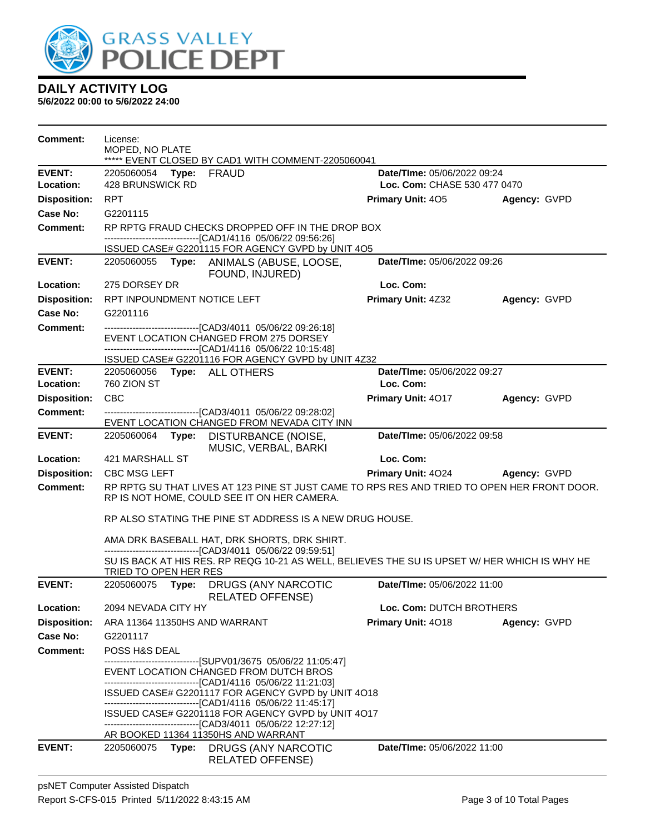

| Comment:            | License:<br>MOPED, NO PLATE   | ***** EVENT CLOSED BY CAD1 WITH COMMENT-2205060041                                                                                                                                                                                                                                                                                                                                                                                                          |                              |              |
|---------------------|-------------------------------|-------------------------------------------------------------------------------------------------------------------------------------------------------------------------------------------------------------------------------------------------------------------------------------------------------------------------------------------------------------------------------------------------------------------------------------------------------------|------------------------------|--------------|
| <b>EVENT:</b>       | 2205060054<br>Type:           | FRAUD                                                                                                                                                                                                                                                                                                                                                                                                                                                       | Date/TIme: 05/06/2022 09:24  |              |
| Location:           | 428 BRUNSWICK RD              |                                                                                                                                                                                                                                                                                                                                                                                                                                                             | Loc. Com: CHASE 530 477 0470 |              |
| <b>Disposition:</b> | <b>RPT</b>                    |                                                                                                                                                                                                                                                                                                                                                                                                                                                             | <b>Primary Unit: 405</b>     | Agency: GVPD |
| <b>Case No:</b>     | G2201115                      |                                                                                                                                                                                                                                                                                                                                                                                                                                                             |                              |              |
| Comment:            |                               | RP RPTG FRAUD CHECKS DROPPED OFF IN THE DROP BOX                                                                                                                                                                                                                                                                                                                                                                                                            |                              |              |
|                     |                               | -------------------------------[CAD1/4116 05/06/22 09:56:26]<br>ISSUED CASE# G2201115 FOR AGENCY GVPD by UNIT 4O5                                                                                                                                                                                                                                                                                                                                           |                              |              |
| <b>EVENT:</b>       |                               | 2205060055 Type: ANIMALS (ABUSE, LOOSE,<br>FOUND, INJURED)                                                                                                                                                                                                                                                                                                                                                                                                  | Date/TIme: 05/06/2022 09:26  |              |
| Location:           | 275 DORSEY DR                 |                                                                                                                                                                                                                                                                                                                                                                                                                                                             | Loc. Com:                    |              |
| <b>Disposition:</b> | RPT INPOUNDMENT NOTICE LEFT   |                                                                                                                                                                                                                                                                                                                                                                                                                                                             | Primary Unit: 4Z32           | Agency: GVPD |
| <b>Case No:</b>     | G2201116                      |                                                                                                                                                                                                                                                                                                                                                                                                                                                             |                              |              |
| <b>Comment:</b>     |                               | -------------------------------[CAD3/4011_05/06/22 09:26:18]<br>EVENT LOCATION CHANGED FROM 275 DORSEY<br>---------------------------------[CAD1/4116 05/06/22 10:15:48]<br>ISSUED CASE# G2201116 FOR AGENCY GVPD by UNIT 4Z32                                                                                                                                                                                                                              |                              |              |
| <b>EVENT:</b>       | 2205060056 Type: ALL OTHERS   |                                                                                                                                                                                                                                                                                                                                                                                                                                                             | Date/TIme: 05/06/2022 09:27  |              |
| Location:           | <b>760 ZION ST</b>            |                                                                                                                                                                                                                                                                                                                                                                                                                                                             | Loc. Com:                    |              |
| <b>Disposition:</b> | CBC                           |                                                                                                                                                                                                                                                                                                                                                                                                                                                             | Primary Unit: 4017           | Agency: GVPD |
| <b>Comment:</b>     |                               | --------------------------------[CAD3/4011 05/06/22 09:28:02]<br>EVENT LOCATION CHANGED FROM NEVADA CITY INN                                                                                                                                                                                                                                                                                                                                                |                              |              |
| <b>EVENT:</b>       | 2205060064<br>Type:           | <b>DISTURBANCE (NOISE,</b><br>MUSIC, VERBAL, BARKI                                                                                                                                                                                                                                                                                                                                                                                                          | Date/TIme: 05/06/2022 09:58  |              |
| Location:           | 421 MARSHALL ST               |                                                                                                                                                                                                                                                                                                                                                                                                                                                             | Loc. Com:                    |              |
| <b>Disposition:</b> | <b>CBC MSG LEFT</b>           |                                                                                                                                                                                                                                                                                                                                                                                                                                                             | <b>Primary Unit: 4024</b>    | Agency: GVPD |
| <b>Comment:</b>     |                               | RP RPTG SU THAT LIVES AT 123 PINE ST JUST CAME TO RPS RES AND TRIED TO OPEN HER FRONT DOOR.<br>RP IS NOT HOME, COULD SEE IT ON HER CAMERA.                                                                                                                                                                                                                                                                                                                  |                              |              |
|                     |                               | RP ALSO STATING THE PINE ST ADDRESS IS A NEW DRUG HOUSE.                                                                                                                                                                                                                                                                                                                                                                                                    |                              |              |
|                     |                               | AMA DRK BASEBALL HAT, DRK SHORTS, DRK SHIRT.                                                                                                                                                                                                                                                                                                                                                                                                                |                              |              |
|                     | TRIED TO OPEN HER RES         | -------------------------------[CAD3/4011 05/06/22 09:59:51]<br>SU IS BACK AT HIS RES. RP REQG 10-21 AS WELL, BELIEVES THE SU IS UPSET W/ HER WHICH IS WHY HE                                                                                                                                                                                                                                                                                               |                              |              |
| <b>EVENT:</b>       | 2205060075<br>Type:           | DRUGS (ANY NARCOTIC<br><b>RELATED OFFENSE)</b>                                                                                                                                                                                                                                                                                                                                                                                                              | Date/TIme: 05/06/2022 11:00  |              |
| Location:           | 2094 NEVADA CITY HY           |                                                                                                                                                                                                                                                                                                                                                                                                                                                             | Loc. Com: DUTCH BROTHERS     |              |
| <b>Disposition:</b> | ARA 11364 11350HS AND WARRANT |                                                                                                                                                                                                                                                                                                                                                                                                                                                             | Primary Unit: 4018           | Agency: GVPD |
| <b>Case No:</b>     | G2201117                      |                                                                                                                                                                                                                                                                                                                                                                                                                                                             |                              |              |
| <b>Comment:</b>     | POSS H&S DEAL                 |                                                                                                                                                                                                                                                                                                                                                                                                                                                             |                              |              |
|                     |                               | ------------------------------[SUPV01/3675_05/06/22 11:05:47]<br>EVENT LOCATION CHANGED FROM DUTCH BROS<br>--------------------------------[CAD1/4116 05/06/22 11:21:03]<br>ISSUED CASE# G2201117 FOR AGENCY GVPD by UNIT 4O18<br>-------------------------------[CAD1/4116_05/06/22 11:45:17]<br>ISSUED CASE# G2201118 FOR AGENCY GVPD by UNIT 4O17<br>-------------------------------[CAD3/4011 05/06/22 12:27:12]<br>AR BOOKED 11364 11350HS AND WARRANT |                              |              |
| <b>EVENT:</b>       | 2205060075                    | Type: DRUGS (ANY NARCOTIC<br><b>RELATED OFFENSE)</b>                                                                                                                                                                                                                                                                                                                                                                                                        | Date/TIme: 05/06/2022 11:00  |              |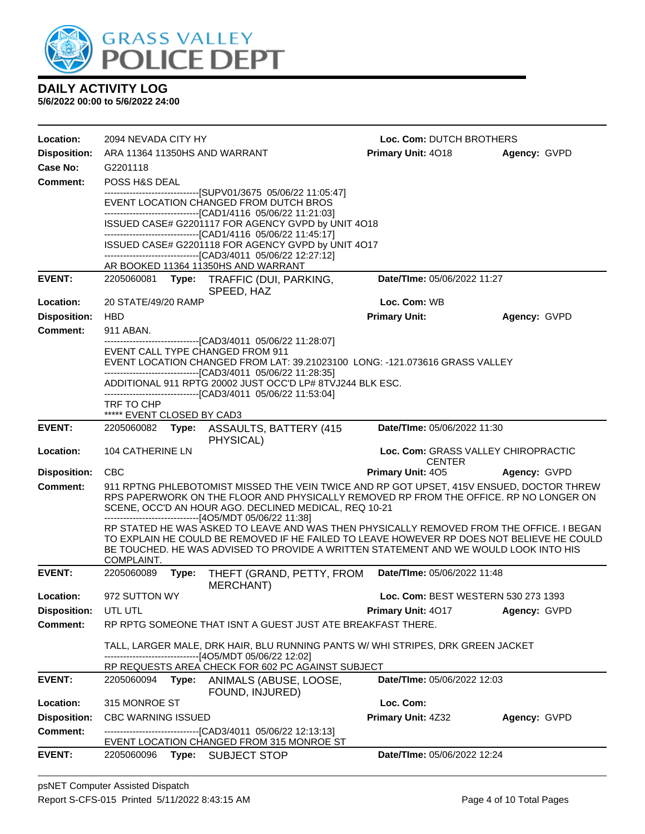

| Location:           | 2094 NEVADA CITY HY                                                                                                                                                                                                                        |       |                                                                                                                                                                                                                                                                                                                                         | Loc. Com: DUTCH BROTHERS                             |              |
|---------------------|--------------------------------------------------------------------------------------------------------------------------------------------------------------------------------------------------------------------------------------------|-------|-----------------------------------------------------------------------------------------------------------------------------------------------------------------------------------------------------------------------------------------------------------------------------------------------------------------------------------------|------------------------------------------------------|--------------|
| <b>Disposition:</b> |                                                                                                                                                                                                                                            |       | ARA 11364 11350HS AND WARRANT                                                                                                                                                                                                                                                                                                           | <b>Primary Unit: 4018</b>                            | Agency: GVPD |
| Case No:            | G2201118                                                                                                                                                                                                                                   |       |                                                                                                                                                                                                                                                                                                                                         |                                                      |              |
| <b>Comment:</b>     | POSS H&S DEAL                                                                                                                                                                                                                              |       |                                                                                                                                                                                                                                                                                                                                         |                                                      |              |
|                     |                                                                                                                                                                                                                                            |       | -------------------------------[SUPV01/3675 05/06/22 11:05:47]<br>EVENT LOCATION CHANGED FROM DUTCH BROS<br>-------------------------------[CAD1/4116 05/06/22 11:21:03]                                                                                                                                                                |                                                      |              |
|                     |                                                                                                                                                                                                                                            |       | ISSUED CASE# G2201117 FOR AGENCY GVPD by UNIT 4O18<br>-------------------------------[CAD1/4116 05/06/22 11:45:17]                                                                                                                                                                                                                      |                                                      |              |
|                     |                                                                                                                                                                                                                                            |       | ISSUED CASE# G2201118 FOR AGENCY GVPD by UNIT 4O17<br>-------------------------------[CAD3/4011 05/06/22 12:27:12]                                                                                                                                                                                                                      |                                                      |              |
|                     |                                                                                                                                                                                                                                            |       | AR BOOKED 11364 11350HS AND WARRANT                                                                                                                                                                                                                                                                                                     |                                                      |              |
| <b>EVENT:</b>       |                                                                                                                                                                                                                                            |       | 2205060081 Type: TRAFFIC (DUI, PARKING,                                                                                                                                                                                                                                                                                                 | Date/TIme: 05/06/2022 11:27                          |              |
| Location:           | 20 STATE/49/20 RAMP                                                                                                                                                                                                                        |       | SPEED, HAZ                                                                                                                                                                                                                                                                                                                              | Loc. Com: WB                                         |              |
| <b>Disposition:</b> | <b>HBD</b>                                                                                                                                                                                                                                 |       |                                                                                                                                                                                                                                                                                                                                         | <b>Primary Unit:</b>                                 | Agency: GVPD |
| <b>Comment:</b>     | 911 ABAN.                                                                                                                                                                                                                                  |       |                                                                                                                                                                                                                                                                                                                                         |                                                      |              |
|                     |                                                                                                                                                                                                                                            |       | -------------------------------[CAD3/4011 05/06/22 11:28:07]<br>EVENT CALL TYPE CHANGED FROM 911<br>EVENT LOCATION CHANGED FROM LAT: 39.21023100 LONG: -121.073616 GRASS VALLEY                                                                                                                                                         |                                                      |              |
|                     |                                                                                                                                                                                                                                            |       | -------------------------------[CAD3/4011 05/06/22 11:28:35]<br>ADDITIONAL 911 RPTG 20002 JUST OCC'D LP# 8TVJ244 BLK ESC.<br>-------------------------------[CAD3/4011 05/06/22 11:53:04]                                                                                                                                               |                                                      |              |
|                     | TRF TO CHP                                                                                                                                                                                                                                 |       |                                                                                                                                                                                                                                                                                                                                         |                                                      |              |
| <b>EVENT:</b>       | ***** EVENT CLOSED BY CAD3                                                                                                                                                                                                                 |       | 2205060082 Type: ASSAULTS, BATTERY (415                                                                                                                                                                                                                                                                                                 | Date/TIme: 05/06/2022 11:30                          |              |
|                     |                                                                                                                                                                                                                                            |       | PHYSICAL)                                                                                                                                                                                                                                                                                                                               |                                                      |              |
| Location:           | 104 CATHERINE LN                                                                                                                                                                                                                           |       |                                                                                                                                                                                                                                                                                                                                         | Loc. Com: GRASS VALLEY CHIROPRACTIC<br><b>CENTER</b> |              |
| <b>Disposition:</b> | <b>CBC</b>                                                                                                                                                                                                                                 |       |                                                                                                                                                                                                                                                                                                                                         | <b>Primary Unit: 405</b>                             | Agency: GVPD |
| <b>Comment:</b>     | 911 RPTNG PHLEBOTOMIST MISSED THE VEIN TWICE AND RP GOT UPSET, 415V ENSUED, DOCTOR THREW<br>RPS PAPERWORK ON THE FLOOR AND PHYSICALLY REMOVED RP FROM THE OFFICE. RP NO LONGER ON<br>SCENE, OCC'D AN HOUR AGO. DECLINED MEDICAL, REQ 10-21 |       |                                                                                                                                                                                                                                                                                                                                         |                                                      |              |
|                     | COMPLAINT.                                                                                                                                                                                                                                 |       | ------------------------------[4O5/MDT 05/06/22 11:38]<br>RP STATED HE WAS ASKED TO LEAVE AND WAS THEN PHYSICALLY REMOVED FROM THE OFFICE. I BEGAN<br>TO EXPLAIN HE COULD BE REMOVED IF HE FAILED TO LEAVE HOWEVER RP DOES NOT BELIEVE HE COULD<br>BE TOUCHED. HE WAS ADVISED TO PROVIDE A WRITTEN STATEMENT AND WE WOULD LOOK INTO HIS |                                                      |              |
| <b>EVENT:</b>       | 2205060089                                                                                                                                                                                                                                 | Type: | THEFT (GRAND, PETTY, FROM<br><b>MERCHANT)</b>                                                                                                                                                                                                                                                                                           | Date/TIme: 05/06/2022 11:48                          |              |
| Location:           | 972 SUTTON WY                                                                                                                                                                                                                              |       |                                                                                                                                                                                                                                                                                                                                         | Loc. Com: BEST WESTERN 530 273 1393                  |              |
| <b>Disposition:</b> | UTL UTL                                                                                                                                                                                                                                    |       |                                                                                                                                                                                                                                                                                                                                         | <b>Primary Unit: 4017</b>                            | Agency: GVPD |
| <b>Comment:</b>     |                                                                                                                                                                                                                                            |       | RP RPTG SOMEONE THAT ISNT A GUEST JUST ATE BREAKFAST THERE.                                                                                                                                                                                                                                                                             |                                                      |              |
|                     |                                                                                                                                                                                                                                            |       | TALL, LARGER MALE, DRK HAIR, BLU RUNNING PANTS W/WHI STRIPES, DRK GREEN JACKET<br>------------------------------[4O5/MDT 05/06/22 12:02]                                                                                                                                                                                                |                                                      |              |
|                     |                                                                                                                                                                                                                                            |       | RP REQUESTS AREA CHECK FOR 602 PC AGAINST SUBJECT                                                                                                                                                                                                                                                                                       |                                                      |              |
| <b>EVENT:</b>       |                                                                                                                                                                                                                                            |       |                                                                                                                                                                                                                                                                                                                                         |                                                      |              |
| Location:           | 2205060094                                                                                                                                                                                                                                 |       | Type: ANIMALS (ABUSE, LOOSE,<br>FOUND, INJURED)                                                                                                                                                                                                                                                                                         | Date/TIme: 05/06/2022 12:03                          |              |
|                     | 315 MONROE ST                                                                                                                                                                                                                              |       |                                                                                                                                                                                                                                                                                                                                         | Loc. Com:                                            |              |
| <b>Disposition:</b> | <b>CBC WARNING ISSUED</b>                                                                                                                                                                                                                  |       |                                                                                                                                                                                                                                                                                                                                         | Primary Unit: 4Z32                                   | Agency: GVPD |
| <b>Comment:</b>     |                                                                                                                                                                                                                                            |       | --------------------------[CAD3/4011_05/06/22 12:13:13]<br>EVENT LOCATION CHANGED FROM 315 MONROE ST                                                                                                                                                                                                                                    |                                                      |              |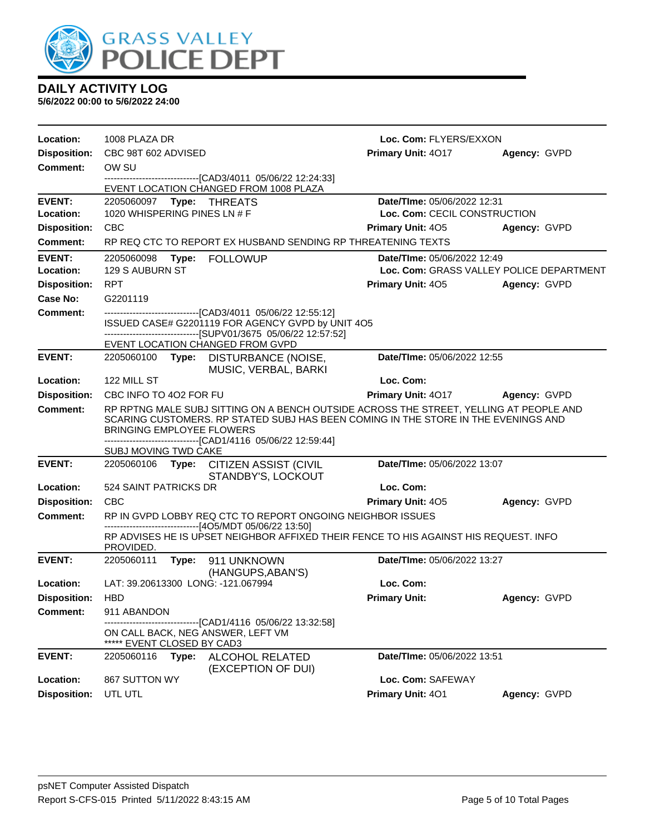

| Location:           | 1008 PLAZA DR                                                   |                                                                                                                                                                              | Loc. Com: FLYERS/EXXON       |                                          |
|---------------------|-----------------------------------------------------------------|------------------------------------------------------------------------------------------------------------------------------------------------------------------------------|------------------------------|------------------------------------------|
| <b>Disposition:</b> | CBC 98T 602 ADVISED                                             |                                                                                                                                                                              | Primary Unit: 4017           | Agency: GVPD                             |
| <b>Comment:</b>     | OW SU                                                           |                                                                                                                                                                              |                              |                                          |
|                     |                                                                 | ------------------------[CAD3/4011 05/06/22 12:24:33]<br>EVENT LOCATION CHANGED FROM 1008 PLAZA                                                                              |                              |                                          |
| <b>EVENT:</b>       |                                                                 |                                                                                                                                                                              | Date/TIme: 05/06/2022 12:31  |                                          |
| Location:           | 1020 WHISPERING PINES LN # F                                    |                                                                                                                                                                              | Loc. Com: CECIL CONSTRUCTION |                                          |
| <b>Disposition:</b> | <b>CBC</b>                                                      |                                                                                                                                                                              | <b>Primary Unit: 405</b>     | Agency: GVPD                             |
| Comment:            |                                                                 | RP REQ CTC TO REPORT EX HUSBAND SENDING RP THREATENING TEXTS                                                                                                                 |                              |                                          |
| <b>EVENT:</b>       | 2205060098<br>Type:                                             | <b>FOLLOWUP</b>                                                                                                                                                              | Date/TIme: 05/06/2022 12:49  |                                          |
| Location:           | 129 S AUBURN ST                                                 |                                                                                                                                                                              |                              | Loc. Com: GRASS VALLEY POLICE DEPARTMENT |
| <b>Disposition:</b> | <b>RPT</b>                                                      |                                                                                                                                                                              | Primary Unit: 405            | Agency: GVPD                             |
| <b>Case No:</b>     | G2201119                                                        |                                                                                                                                                                              |                              |                                          |
| Comment:            |                                                                 | -------------------------------[CAD3/4011 05/06/22 12:55:12]<br>ISSUED CASE# G2201119 FOR AGENCY GVPD by UNIT 4O5<br>---------------------[SUPV01/3675_05/06/22_12:57:52]    |                              |                                          |
|                     | EVENT LOCATION CHANGED FROM GVPD                                |                                                                                                                                                                              |                              |                                          |
| <b>EVENT:</b>       | 2205060100                                                      | Type: DISTURBANCE (NOISE,<br>MUSIC, VERBAL, BARKI                                                                                                                            | Date/TIme: 05/06/2022 12:55  |                                          |
| Location:           | 122 MILL ST                                                     |                                                                                                                                                                              | Loc. Com:                    |                                          |
| <b>Disposition:</b> | CBC INFO TO 4O2 FOR FU                                          |                                                                                                                                                                              | Primary Unit: 4017           | Agency: GVPD                             |
| <b>Comment:</b>     | <b>BRINGING EMPLOYEE FLOWERS</b>                                | RP RPTNG MALE SUBJ SITTING ON A BENCH OUTSIDE ACROSS THE STREET, YELLING AT PEOPLE AND<br>SCARING CUSTOMERS. RP STATED SUBJ HAS BEEN COMING IN THE STORE IN THE EVENINGS AND |                              |                                          |
|                     | SUBJ MOVING TWD CAKE                                            | -------------------------------[CAD1/4116 05/06/22 12:59:44]                                                                                                                 |                              |                                          |
| <b>EVENT:</b>       |                                                                 | 2205060106 Type: CITIZEN ASSIST (CIVIL<br>STANDBY'S, LOCKOUT                                                                                                                 | Date/TIme: 05/06/2022 13:07  |                                          |
| Location:           | 524 SAINT PATRICKS DR                                           |                                                                                                                                                                              | Loc. Com:                    |                                          |
| <b>Disposition:</b> | CBC                                                             |                                                                                                                                                                              | Primary Unit: 405            | Agency: GVPD                             |
| <b>Comment:</b>     |                                                                 | RP IN GVPD LOBBY REQ CTC TO REPORT ONGOING NEIGHBOR ISSUES                                                                                                                   |                              |                                          |
|                     | PROVIDED.                                                       | ----------------------[4O5/MDT 05/06/22 13:50]<br>RP ADVISES HE IS UPSET NEIGHBOR AFFIXED THEIR FENCE TO HIS AGAINST HIS REQUEST. INFO                                       |                              |                                          |
| <b>EVENT:</b>       | 2205060111                                                      | Type: 911 UNKNOWN<br>(HANGUPS, ABAN'S)                                                                                                                                       | Date/TIme: 05/06/2022 13:27  |                                          |
| Location:           | LAT: 39.20613300 LONG: -121.067994                              |                                                                                                                                                                              | Loc. Com:                    |                                          |
| <b>Disposition:</b> | HBD                                                             |                                                                                                                                                                              | <b>Primary Unit:</b>         | Agency: GVPD                             |
| Comment:            | 911 ABANDON                                                     |                                                                                                                                                                              |                              |                                          |
|                     | ON CALL BACK, NEG ANSWER, LEFT VM<br>***** EVENT CLOSED BY CAD3 | ------------------------[CAD1/4116 05/06/22 13:32:58]                                                                                                                        |                              |                                          |
| <b>EVENT:</b>       | 2205060116<br>Type:                                             | ALCOHOL RELATED<br>(EXCEPTION OF DUI)                                                                                                                                        | Date/TIme: 05/06/2022 13:51  |                                          |
| Location:           | 867 SUTTON WY                                                   |                                                                                                                                                                              | Loc. Com: SAFEWAY            |                                          |
| <b>Disposition:</b> | UTL UTL                                                         |                                                                                                                                                                              | Primary Unit: 401            | Agency: GVPD                             |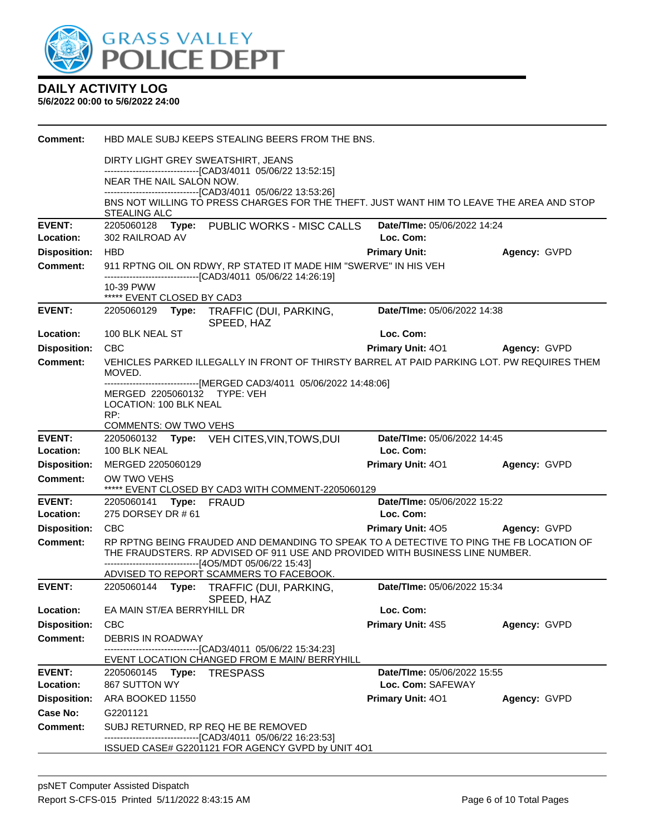

| <b>Comment:</b>                        | HBD MALE SUBJ KEEPS STEALING BEERS FROM THE BNS.                                                                                                                         |                                   |              |
|----------------------------------------|--------------------------------------------------------------------------------------------------------------------------------------------------------------------------|-----------------------------------|--------------|
|                                        | DIRTY LIGHT GREY SWEATSHIRT, JEANS                                                                                                                                       |                                   |              |
|                                        | --------------------------------[CAD3/4011 05/06/22 13:52:15]<br>NEAR THE NAIL SALON NOW.                                                                                |                                   |              |
|                                        | --------------------------------[CAD3/4011 05/06/22 13:53:26]                                                                                                            |                                   |              |
|                                        | BNS NOT WILLING TO PRESS CHARGES FOR THE THEFT. JUST WANT HIM TO LEAVE THE AREA AND STOP<br><b>STEALING ALC</b>                                                          |                                   |              |
| <b>EVENT:</b>                          | 2205060128 Type: PUBLIC WORKS - MISC CALLS                                                                                                                               | Date/TIme: 05/06/2022 14:24       |              |
| Location:<br><b>Disposition:</b>       | 302 RAILROAD AV<br><b>HBD</b>                                                                                                                                            | Loc. Com:<br><b>Primary Unit:</b> | Agency: GVPD |
| Comment:                               | 911 RPTNG OIL ON RDWY, RP STATED IT MADE HIM "SWERVE" IN HIS VEH                                                                                                         |                                   |              |
|                                        | -------------------------------[CAD3/4011 05/06/22 14:26:19]                                                                                                             |                                   |              |
|                                        | 10-39 PWW<br>***** EVENT CLOSED BY CAD3                                                                                                                                  |                                   |              |
| <b>EVENT:</b>                          | 2205060129 Type: TRAFFIC (DUI, PARKING,<br>SPEED, HAZ                                                                                                                    | Date/TIme: 05/06/2022 14:38       |              |
| Location:                              | 100 BLK NEAL ST                                                                                                                                                          | Loc. Com:                         |              |
| <b>Disposition:</b>                    | <b>CBC</b>                                                                                                                                                               | <b>Primary Unit: 401</b>          | Agency: GVPD |
| Comment:                               | VEHICLES PARKED ILLEGALLY IN FRONT OF THIRSTY BARREL AT PAID PARKING LOT. PW REQUIRES THEM<br>MOVED.                                                                     |                                   |              |
|                                        | -------------------------------[MERGED CAD3/4011 05/06/2022 14:48:06]                                                                                                    |                                   |              |
|                                        | MERGED 2205060132 TYPE: VEH<br>LOCATION: 100 BLK NEAL                                                                                                                    |                                   |              |
|                                        | RP:                                                                                                                                                                      |                                   |              |
| <b>EVENT:</b>                          | <b>COMMENTS: OW TWO VEHS</b><br>2205060132 Type: VEH CITES, VIN, TOWS, DUI                                                                                               | Date/TIme: 05/06/2022 14:45       |              |
| Location:                              | 100 BLK NEAL                                                                                                                                                             | Loc. Com:                         |              |
| <b>Disposition:</b>                    | MERGED 2205060129                                                                                                                                                        | Primary Unit: 401                 | Agency: GVPD |
| <b>Comment:</b>                        | OW TWO VEHS<br>***** EVENT CLOSED BY CAD3 WITH COMMENT-2205060129                                                                                                        |                                   |              |
| <b>EVENT:</b>                          | 2205060141 Type: FRAUD                                                                                                                                                   | Date/TIme: 05/06/2022 15:22       |              |
| Location:                              | 275 DORSEY DR # 61                                                                                                                                                       | Loc. Com:                         |              |
| <b>Disposition:</b>                    | <b>CBC</b>                                                                                                                                                               | <b>Primary Unit: 405</b>          | Agency: GVPD |
| <b>Comment:</b>                        | RP RPTNG BEING FRAUDED AND DEMANDING TO SPEAK TO A DETECTIVE TO PING THE FB LOCATION OF<br>THE FRAUDSTERS. RP ADVISED OF 911 USE AND PROVIDED WITH BUSINESS LINE NUMBER. |                                   |              |
|                                        | -------------------------------[4O5/MDT 05/06/22 15:43]                                                                                                                  |                                   |              |
|                                        | ADVISED TO REPORT SCAMMERS TO FACEBOOK.                                                                                                                                  |                                   |              |
| <b>EVENT:</b>                          | 2205060144 Type: TRAFFIC (DUI, PARKING,<br>SPEED, HAZ                                                                                                                    | Date/TIme: 05/06/2022 15:34       |              |
| Location:                              | EA MAIN ST/EA BERRYHILL DR                                                                                                                                               | Loc. Com:                         |              |
| <b>Disposition:</b>                    | <b>CBC</b>                                                                                                                                                               | <b>Primary Unit: 4S5</b>          | Agency: GVPD |
| <b>Comment:</b>                        | DEBRIS IN ROADWAY<br>-----------------------[CAD3/4011_05/06/22 15:34:23]                                                                                                |                                   |              |
|                                        | EVENT LOCATION CHANGED FROM E MAIN/ BERRYHILL                                                                                                                            |                                   |              |
| <b>EVENT:</b>                          | 2205060145 <b>Type:</b><br><b>TRESPASS</b>                                                                                                                               | Date/TIme: 05/06/2022 15:55       |              |
| Location:                              | 867 SUTTON WY                                                                                                                                                            | Loc. Com: SAFEWAY                 |              |
| <b>Disposition:</b><br><b>Case No:</b> | ARA BOOKED 11550<br>G2201121                                                                                                                                             | <b>Primary Unit: 401</b>          | Agency: GVPD |
| <b>Comment:</b>                        | SUBJ RETURNED, RP REQ HE BE REMOVED                                                                                                                                      |                                   |              |
|                                        | -------------------------------[CAD3/4011 05/06/22 16:23:53]                                                                                                             |                                   |              |
|                                        | ISSUED CASE# G2201121 FOR AGENCY GVPD by UNIT 4O1                                                                                                                        |                                   |              |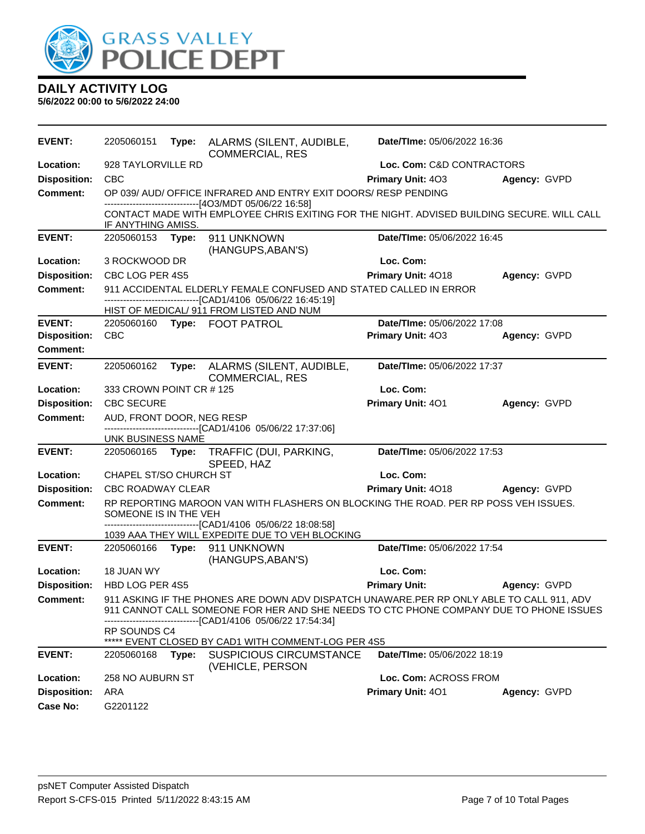

| <b>EVENT:</b>       | 2205060151                    |       | Type: ALARMS (SILENT, AUDIBLE,<br><b>COMMERCIAL, RES</b>                                                                                                                                                                    | Date/TIme: 05/06/2022 16:36 |              |
|---------------------|-------------------------------|-------|-----------------------------------------------------------------------------------------------------------------------------------------------------------------------------------------------------------------------------|-----------------------------|--------------|
| Location:           | 928 TAYLORVILLE RD            |       |                                                                                                                                                                                                                             | Loc. Com: C&D CONTRACTORS   |              |
| <b>Disposition:</b> | <b>CBC</b>                    |       |                                                                                                                                                                                                                             | Primary Unit: 403           | Agency: GVPD |
| <b>Comment:</b>     |                               |       | OP 039/ AUD/ OFFICE INFRARED AND ENTRY EXIT DOORS/ RESP PENDING                                                                                                                                                             |                             |              |
|                     | IF ANYTHING AMISS.            |       | ------------------------------[4O3/MDT 05/06/22 16:58]<br>CONTACT MADE WITH EMPLOYEE CHRIS EXITING FOR THE NIGHT. ADVISED BUILDING SECURE. WILL CALL                                                                        |                             |              |
| <b>EVENT:</b>       | 2205060153 Type:              |       | 911 UNKNOWN<br>(HANGUPS, ABAN'S)                                                                                                                                                                                            | Date/TIme: 05/06/2022 16:45 |              |
| Location:           | 3 ROCKWOOD DR                 |       |                                                                                                                                                                                                                             | Loc. Com:                   |              |
| <b>Disposition:</b> | CBC LOG PER 4S5               |       |                                                                                                                                                                                                                             | Primary Unit: 4018          | Agency: GVPD |
| <b>Comment:</b>     |                               |       | 911 ACCIDENTAL ELDERLY FEMALE CONFUSED AND STATED CALLED IN ERROR                                                                                                                                                           |                             |              |
|                     |                               |       | --------------------------------[CAD1/4106 05/06/22 16:45:19]<br>HIST OF MEDICAL/ 911 FROM LISTED AND NUM                                                                                                                   |                             |              |
| <b>EVENT:</b>       | 2205060160                    |       | Type: FOOT PATROL                                                                                                                                                                                                           | Date/TIme: 05/06/2022 17:08 |              |
| <b>Disposition:</b> | <b>CBC</b>                    |       |                                                                                                                                                                                                                             | Primary Unit: 403           | Agency: GVPD |
| <b>Comment:</b>     |                               |       |                                                                                                                                                                                                                             |                             |              |
| <b>EVENT:</b>       | 2205060162                    | Type: | ALARMS (SILENT, AUDIBLE,<br><b>COMMERCIAL, RES</b>                                                                                                                                                                          | Date/TIme: 05/06/2022 17:37 |              |
| Location:           | 333 CROWN POINT CR # 125      |       |                                                                                                                                                                                                                             | Loc. Com:                   |              |
| <b>Disposition:</b> | <b>CBC SECURE</b>             |       |                                                                                                                                                                                                                             | Primary Unit: 401           | Agency: GVPD |
| <b>Comment:</b>     | AUD, FRONT DOOR, NEG RESP     |       |                                                                                                                                                                                                                             |                             |              |
|                     | UNK BUSINESS NAME             |       | --------------------------[CAD1/4106 05/06/22 17:37:06]                                                                                                                                                                     |                             |              |
| <b>EVENT:</b>       |                               |       | 2205060165 Type: TRAFFIC (DUI, PARKING,<br>SPEED, HAZ                                                                                                                                                                       | Date/TIme: 05/06/2022 17:53 |              |
| Location:           | <b>CHAPEL ST/SO CHURCH ST</b> |       |                                                                                                                                                                                                                             | Loc. Com:                   |              |
| <b>Disposition:</b> | <b>CBC ROADWAY CLEAR</b>      |       |                                                                                                                                                                                                                             | Primary Unit: 4018          | Agency: GVPD |
| <b>Comment:</b>     | SOMEONE IS IN THE VEH         |       | RP REPORTING MAROON VAN WITH FLASHERS ON BLOCKING THE ROAD. PER RP POSS VEH ISSUES.                                                                                                                                         |                             |              |
|                     |                               |       | --------------------------[CAD1/4106 05/06/22 18:08:58]<br>1039 AAA THEY WILL EXPEDITE DUE TO VEH BLOCKING                                                                                                                  |                             |              |
| <b>EVENT:</b>       |                               |       | 2205060166    Type: 911    UNKNOWN                                                                                                                                                                                          | Date/TIme: 05/06/2022 17:54 |              |
|                     |                               |       | (HANGUPS, ABAN'S)                                                                                                                                                                                                           |                             |              |
| Location:           | 18 JUAN WY                    |       |                                                                                                                                                                                                                             | Loc. Com:                   |              |
| <b>Disposition:</b> | HBD LOG PER 4S5               |       |                                                                                                                                                                                                                             | <b>Primary Unit:</b>        | Agency: GVPD |
| Comment:            |                               |       | 911 ASKING IF THE PHONES ARE DOWN ADV DISPATCH UNAWARE.PER RP ONLY ABLE TO CALL 911, ADV<br>911 CANNOT CALL SOMEONE FOR HER AND SHE NEEDS TO CTC PHONE COMPANY DUE TO PHONE ISSUES<br>--------[CAD1/4106 05/06/22 17:54:34] |                             |              |
|                     | <b>RP SOUNDS C4</b>           |       | ***** EVENT CLOSED BY CAD1 WITH COMMENT-LOG PER 4S5                                                                                                                                                                         |                             |              |
| <b>EVENT:</b>       | 2205060168                    | Type: | <b>SUSPICIOUS CIRCUMSTANCE</b><br>(VEHICLE, PERSON                                                                                                                                                                          | Date/TIme: 05/06/2022 18:19 |              |
| Location:           | 258 NO AUBURN ST              |       |                                                                                                                                                                                                                             | Loc. Com: ACROSS FROM       |              |
| <b>Disposition:</b> | ARA                           |       |                                                                                                                                                                                                                             | Primary Unit: 401           | Agency: GVPD |
| Case No:            | G2201122                      |       |                                                                                                                                                                                                                             |                             |              |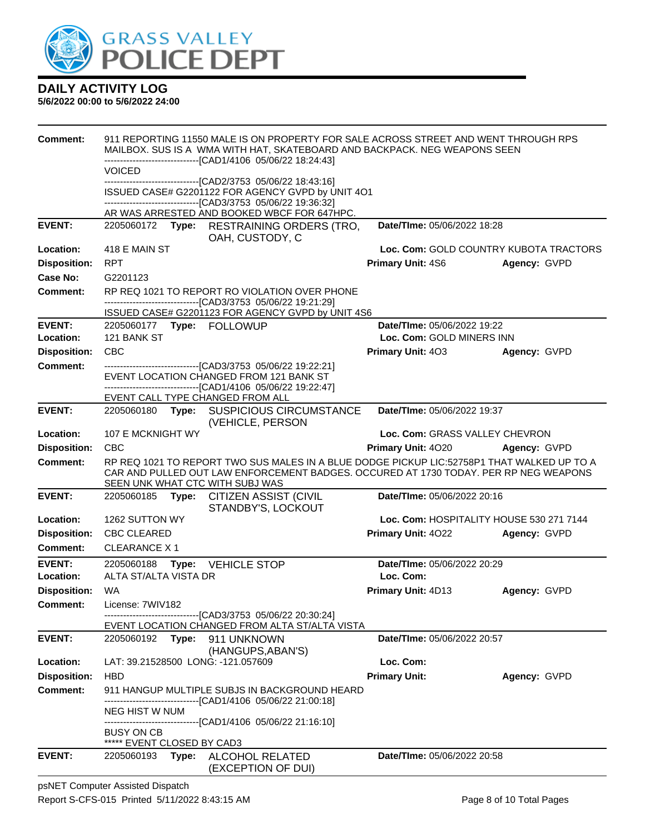

#### **5/6/2022 00:00 to 5/6/2022 24:00**

| Comment:                   |                                    |       | 911 REPORTING 11550 MALE IS ON PROPERTY FOR SALE ACROSS STREET AND WENT THROUGH RPS<br>MAILBOX. SUS IS A WMA WITH HAT, SKATEBOARD AND BACKPACK. NEG WEAPONS SEEN                                                      |                                                          |                                        |
|----------------------------|------------------------------------|-------|-----------------------------------------------------------------------------------------------------------------------------------------------------------------------------------------------------------------------|----------------------------------------------------------|----------------------------------------|
|                            |                                    |       | -------------------------------[CAD1/4106 05/06/22 18:24:43]                                                                                                                                                          |                                                          |                                        |
|                            | <b>VOICED</b>                      |       | --------------------------------[CAD2/3753 05/06/22 18:43:16]                                                                                                                                                         |                                                          |                                        |
|                            |                                    |       | ISSUED CASE# G2201122 FOR AGENCY GVPD by UNIT 4O1<br>--------------------------------[CAD3/3753 05/06/22 19:36:32]                                                                                                    |                                                          |                                        |
|                            |                                    |       | AR WAS ARRESTED AND BOOKED WBCF FOR 647HPC.                                                                                                                                                                           |                                                          |                                        |
| <b>EVENT:</b>              |                                    |       | 2205060172 Type: RESTRAINING ORDERS (TRO,<br>OAH, CUSTODY, C                                                                                                                                                          | Date/TIme: 05/06/2022 18:28                              |                                        |
| Location:                  | 418 E MAIN ST                      |       |                                                                                                                                                                                                                       |                                                          | Loc. Com: GOLD COUNTRY KUBOTA TRACTORS |
| <b>Disposition:</b>        | <b>RPT</b>                         |       |                                                                                                                                                                                                                       | <b>Primary Unit: 4S6</b>                                 | Agency: GVPD                           |
| <b>Case No:</b>            | G2201123                           |       |                                                                                                                                                                                                                       |                                                          |                                        |
| Comment:                   |                                    |       | RP REQ 1021 TO REPORT RO VIOLATION OVER PHONE<br>-------------------------------[CAD3/3753_05/06/22 19:21:29]                                                                                                         |                                                          |                                        |
|                            |                                    |       | ISSUED CASE# G2201123 FOR AGENCY GVPD by UNIT 4S6                                                                                                                                                                     |                                                          |                                        |
| <b>EVENT:</b><br>Location: | 121 BANK ST                        |       |                                                                                                                                                                                                                       | Date/TIme: 05/06/2022 19:22<br>Loc. Com: GOLD MINERS INN |                                        |
| <b>Disposition:</b>        | <b>CBC</b>                         |       |                                                                                                                                                                                                                       | <b>Primary Unit: 403</b>                                 | Agency: GVPD                           |
| <b>Comment:</b>            |                                    |       | -------------------------------[CAD3/3753_05/06/22_19:22:21]                                                                                                                                                          |                                                          |                                        |
|                            |                                    |       | EVENT LOCATION CHANGED FROM 121 BANK ST<br>------------------------------[CAD1/4106 05/06/22 19:22:47]                                                                                                                |                                                          |                                        |
|                            |                                    |       | EVENT CALL TYPE CHANGED FROM ALL                                                                                                                                                                                      |                                                          |                                        |
| <b>EVENT:</b>              |                                    |       | 2205060180 Type: SUSPICIOUS CIRCUMSTANCE<br>(VEHICLE, PERSON                                                                                                                                                          | Date/TIme: 05/06/2022 19:37                              |                                        |
| Location:                  | 107 E MCKNIGHT WY                  |       |                                                                                                                                                                                                                       | Loc. Com: GRASS VALLEY CHEVRON                           |                                        |
| <b>Disposition:</b>        | <b>CBC</b>                         |       |                                                                                                                                                                                                                       | <b>Primary Unit: 4020</b>                                | Agency: GVPD                           |
| <b>Comment:</b>            |                                    |       | RP REQ 1021 TO REPORT TWO SUS MALES IN A BLUE DODGE PICKUP LIC:52758P1 THAT WALKED UP TO A<br>CAR AND PULLED OUT LAW ENFORCEMENT BADGES. OCCURED AT 1730 TODAY. PER RP NEG WEAPONS<br>SEEN UNK WHAT CTC WITH SUBJ WAS |                                                          |                                        |
| <b>EVENT:</b>              | 2205060185 Type:                   |       | <b>CITIZEN ASSIST (CIVIL</b><br>STANDBY'S, LOCKOUT                                                                                                                                                                    | Date/TIme: 05/06/2022 20:16                              |                                        |
| Location:                  | 1262 SUTTON WY                     |       |                                                                                                                                                                                                                       | Loc. Com: HOSPITALITY HOUSE 530 271 7144                 |                                        |
| <b>Disposition:</b>        | <b>CBC CLEARED</b>                 |       |                                                                                                                                                                                                                       | Primary Unit: 4022                                       | Agency: GVPD                           |
| <b>Comment:</b>            | <b>CLEARANCE X1</b>                |       |                                                                                                                                                                                                                       |                                                          |                                        |
| <b>EVENT:</b>              | 2205060188                         | Type: | <b>VEHICLE STOP</b>                                                                                                                                                                                                   | Date/TIme: 05/06/2022 20:29                              |                                        |
| Location:                  | ALTA ST/ALTA VISTA DR              |       |                                                                                                                                                                                                                       | Loc. Com:                                                |                                        |
| <b>Disposition:</b>        | WA                                 |       |                                                                                                                                                                                                                       | <b>Primary Unit: 4D13</b>                                | Agency: GVPD                           |
| <b>Comment:</b>            | License: 7WIV182                   |       |                                                                                                                                                                                                                       |                                                          |                                        |
|                            |                                    |       | -------------------------------[CAD3/3753 05/06/22 20:30:24]<br>EVENT LOCATION CHANGED FROM ALTA ST/ALTA VISTA                                                                                                        |                                                          |                                        |
| <b>EVENT:</b>              | 2205060192 Type:                   |       | 911 UNKNOWN                                                                                                                                                                                                           | Date/TIme: 05/06/2022 20:57                              |                                        |
|                            |                                    |       | (HANGUPS, ABAN'S)                                                                                                                                                                                                     |                                                          |                                        |
| Location:                  | LAT: 39.21528500 LONG: -121.057609 |       |                                                                                                                                                                                                                       | Loc. Com:                                                |                                        |
| <b>Disposition:</b>        | <b>HBD</b>                         |       |                                                                                                                                                                                                                       | <b>Primary Unit:</b>                                     | Agency: GVPD                           |
| <b>Comment:</b>            |                                    |       | 911 HANGUP MULTIPLE SUBJS IN BACKGROUND HEARD<br>--------------------------[CAD1/4106 05/06/22 21:00:18]                                                                                                              |                                                          |                                        |
|                            | <b>NEG HIST W NUM</b>              |       |                                                                                                                                                                                                                       |                                                          |                                        |
|                            | <b>BUSY ON CB</b>                  |       | ------------------------------[CAD1/4106_05/06/22 21:16:10]                                                                                                                                                           |                                                          |                                        |
| <b>EVENT:</b>              | ***** EVENT CLOSED BY CAD3         |       |                                                                                                                                                                                                                       |                                                          |                                        |
|                            | 2205060193                         |       | Type: ALCOHOL RELATED                                                                                                                                                                                                 | Date/TIme: 05/06/2022 20:58                              |                                        |

psNET Computer Assisted Dispatch Report S-CFS-015 Printed 5/11/2022 8:43:15 AM Page 8 of 10 Total Pages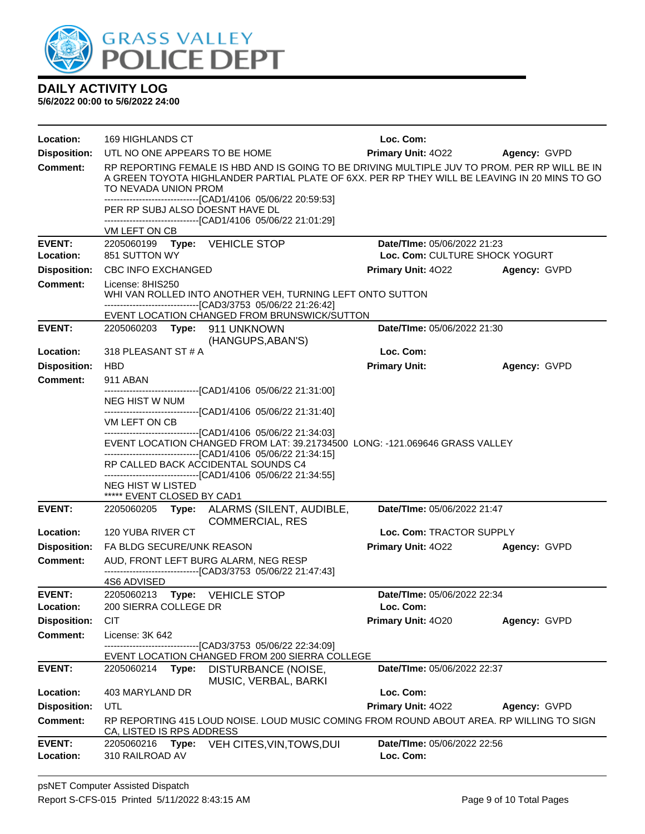

| Location:                  | <b>169 HIGHLANDS CT</b>                                                                                                                                                                                                                                                                                                                                                                      | Loc. Com:                                |                     |  |  |  |
|----------------------------|----------------------------------------------------------------------------------------------------------------------------------------------------------------------------------------------------------------------------------------------------------------------------------------------------------------------------------------------------------------------------------------------|------------------------------------------|---------------------|--|--|--|
| <b>Disposition:</b>        | UTL NO ONE APPEARS TO BE HOME                                                                                                                                                                                                                                                                                                                                                                | <b>Primary Unit: 4022</b>                | <b>Agency: GVPD</b> |  |  |  |
| <b>Comment:</b>            | RP REPORTING FEMALE IS HBD AND IS GOING TO BE DRIVING MULTIPLE JUV TO PROM. PER RP WILL BE IN<br>A GREEN TOYOTA HIGHLANDER PARTIAL PLATE OF 6XX. PER RP THEY WILL BE LEAVING IN 20 MINS TO GO<br>TO NEVADA UNION PROM<br>-----------------------------------[CAD1/4106 05/06/22 20:59:53]<br>PER RP SUBJ ALSO DOESNT HAVE DL<br>-------------------------------[CAD1/4106 05/06/22 21:01:29] |                                          |                     |  |  |  |
|                            | VM LEFT ON CB                                                                                                                                                                                                                                                                                                                                                                                |                                          |                     |  |  |  |
| <b>EVENT:</b>              | 2205060199 Type: VEHICLE STOP                                                                                                                                                                                                                                                                                                                                                                | Date/TIme: 05/06/2022 21:23              |                     |  |  |  |
| Location:                  | 851 SUTTON WY                                                                                                                                                                                                                                                                                                                                                                                | Loc. Com: CULTURE SHOCK YOGURT           |                     |  |  |  |
| <b>Disposition:</b>        | <b>CBC INFO EXCHANGED</b>                                                                                                                                                                                                                                                                                                                                                                    | <b>Primary Unit: 4022</b>                | Agency: GVPD        |  |  |  |
| <b>Comment:</b>            | License: 8HIS250<br>WHI VAN ROLLED INTO ANOTHER VEH, TURNING LEFT ONTO SUTTON<br>---------------------------------[CAD3/3753 05/06/22 21:26:42]<br>EVENT LOCATION CHANGED FROM BRUNSWICK/SUTTON                                                                                                                                                                                              |                                          |                     |  |  |  |
| <b>EVENT:</b>              | 2205060203 Type: 911 UNKNOWN<br>(HANGUPS, ABAN'S)                                                                                                                                                                                                                                                                                                                                            | Date/TIme: 05/06/2022 21:30              |                     |  |  |  |
| Location:                  | 318 PLEASANT ST # A                                                                                                                                                                                                                                                                                                                                                                          | Loc. Com:                                |                     |  |  |  |
| <b>Disposition:</b>        | <b>HBD</b>                                                                                                                                                                                                                                                                                                                                                                                   | <b>Primary Unit:</b>                     | Agency: GVPD        |  |  |  |
| <b>Comment:</b>            | 911 ABAN                                                                                                                                                                                                                                                                                                                                                                                     |                                          |                     |  |  |  |
|                            | -------------------------------[CAD1/4106 05/06/22 21:31:00]<br><b>NEG HIST W NUM</b>                                                                                                                                                                                                                                                                                                        |                                          |                     |  |  |  |
|                            | --------------------------------[CAD1/4106 05/06/22 21:31:40]<br>VM LEFT ON CB                                                                                                                                                                                                                                                                                                               |                                          |                     |  |  |  |
|                            | --------------------------------[CAD1/4106 05/06/22 21:34:03]<br>EVENT LOCATION CHANGED FROM LAT: 39.21734500 LONG: -121.069646 GRASS VALLEY                                                                                                                                                                                                                                                 |                                          |                     |  |  |  |
|                            | -------------------------------[CAD1/4106 05/06/22 21:34:15]<br>RP CALLED BACK ACCIDENTAL SOUNDS C4<br>--------------------------------[CAD1/4106 05/06/22 21:34:55]                                                                                                                                                                                                                         |                                          |                     |  |  |  |
|                            | <b>NEG HIST W LISTED</b><br>***** EVENT CLOSED BY CAD1                                                                                                                                                                                                                                                                                                                                       |                                          |                     |  |  |  |
| <b>EVENT:</b>              | 2205060205<br>Type:<br>ALARMS (SILENT, AUDIBLE,<br><b>COMMERCIAL, RES</b>                                                                                                                                                                                                                                                                                                                    | Date/TIme: 05/06/2022 21:47              |                     |  |  |  |
| Location:                  | 120 YUBA RIVER CT                                                                                                                                                                                                                                                                                                                                                                            | Loc. Com: TRACTOR SUPPLY                 |                     |  |  |  |
| <b>Disposition:</b>        | FA BLDG SECURE/UNK REASON                                                                                                                                                                                                                                                                                                                                                                    | <b>Primary Unit: 4022</b>                | Agency: GVPD        |  |  |  |
| <b>Comment:</b>            | AUD, FRONT LEFT BURG ALARM, NEG RESP                                                                                                                                                                                                                                                                                                                                                         |                                          |                     |  |  |  |
|                            | -------------------------------[CAD3/3753_05/06/22_21:47:43]<br>4S6 ADVISED                                                                                                                                                                                                                                                                                                                  |                                          |                     |  |  |  |
| <b>EVENT:</b>              | 2205060213 Type: VEHICLE STOP                                                                                                                                                                                                                                                                                                                                                                | Date/TIme: 05/06/2022 22:34              |                     |  |  |  |
| Location:                  | 200 SIERRA COLLEGE DR                                                                                                                                                                                                                                                                                                                                                                        | Loc. Com:                                |                     |  |  |  |
| <b>Disposition:</b>        | <b>CIT</b>                                                                                                                                                                                                                                                                                                                                                                                   | Primary Unit: 4020                       | Agency: GVPD        |  |  |  |
| <b>Comment:</b>            | License: 3K 642                                                                                                                                                                                                                                                                                                                                                                              |                                          |                     |  |  |  |
|                            | --[CAD3/3753 05/06/22 22:34:09]<br>EVENT LOCATION CHANGED FROM 200 SIERRA COLLEGE                                                                                                                                                                                                                                                                                                            |                                          |                     |  |  |  |
| <b>EVENT:</b>              | 2205060214<br>Type:<br>DISTURBANCE (NOISE,<br>MUSIC, VERBAL, BARKI                                                                                                                                                                                                                                                                                                                           | Date/TIme: 05/06/2022 22:37              |                     |  |  |  |
| Location:                  | 403 MARYLAND DR                                                                                                                                                                                                                                                                                                                                                                              | Loc. Com:                                |                     |  |  |  |
| <b>Disposition:</b>        | UTL                                                                                                                                                                                                                                                                                                                                                                                          | Primary Unit: 4022                       | Agency: GVPD        |  |  |  |
| <b>Comment:</b>            | RP REPORTING 415 LOUD NOISE. LOUD MUSIC COMING FROM ROUND ABOUT AREA. RP WILLING TO SIGN<br>CA, LISTED IS RPS ADDRESS                                                                                                                                                                                                                                                                        |                                          |                     |  |  |  |
| <b>EVENT:</b><br>Location: | 2205060216<br>Type:<br>VEH CITES, VIN, TOWS, DUI<br>310 RAILROAD AV                                                                                                                                                                                                                                                                                                                          | Date/TIme: 05/06/2022 22:56<br>Loc. Com: |                     |  |  |  |